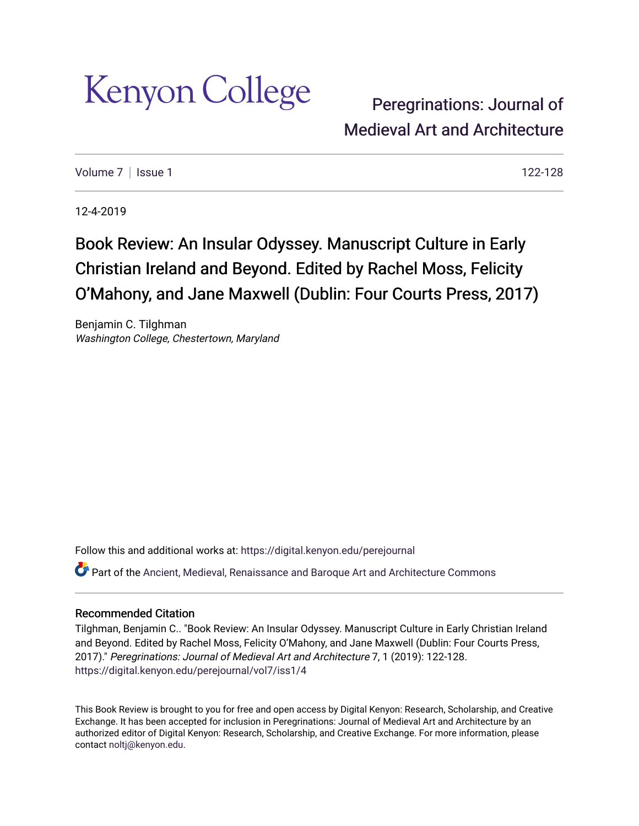

[Peregrinations: Journal of](https://digital.kenyon.edu/perejournal)  [Medieval Art and Ar](https://digital.kenyon.edu/perejournal)chitecture

Volume  $7 \mid$  [Issue 1](https://digital.kenyon.edu/perejournal/vol7/iss1) 122-128

12-4-2019

## Book Review: An Insular Odyssey. Manuscript Culture in Early Christian Ireland and Beyond. Edited by Rachel Moss, Felicity O'Mahony, and Jane Maxwell (Dublin: Four Courts Press, 2017)

Benjamin C. Tilghman Washington College, Chestertown, Maryland

Follow this and additional works at: [https://digital.kenyon.edu/perejournal](https://digital.kenyon.edu/perejournal?utm_source=digital.kenyon.edu%2Fperejournal%2Fvol7%2Fiss1%2F4&utm_medium=PDF&utm_campaign=PDFCoverPages) 

Part of the [Ancient, Medieval, Renaissance and Baroque Art and Architecture Commons](http://network.bepress.com/hgg/discipline/512?utm_source=digital.kenyon.edu%2Fperejournal%2Fvol7%2Fiss1%2F4&utm_medium=PDF&utm_campaign=PDFCoverPages)

## Recommended Citation

Tilghman, Benjamin C.. "Book Review: An Insular Odyssey. Manuscript Culture in Early Christian Ireland and Beyond. Edited by Rachel Moss, Felicity O'Mahony, and Jane Maxwell (Dublin: Four Courts Press, 2017)." Peregrinations: Journal of Medieval Art and Architecture 7, 1 (2019): 122-128. [https://digital.kenyon.edu/perejournal/vol7/iss1/4](https://digital.kenyon.edu/perejournal/vol7/iss1/4?utm_source=digital.kenyon.edu%2Fperejournal%2Fvol7%2Fiss1%2F4&utm_medium=PDF&utm_campaign=PDFCoverPages) 

This Book Review is brought to you for free and open access by Digital Kenyon: Research, Scholarship, and Creative Exchange. It has been accepted for inclusion in Peregrinations: Journal of Medieval Art and Architecture by an authorized editor of Digital Kenyon: Research, Scholarship, and Creative Exchange. For more information, please contact [noltj@kenyon.edu.](mailto:noltj@kenyon.edu)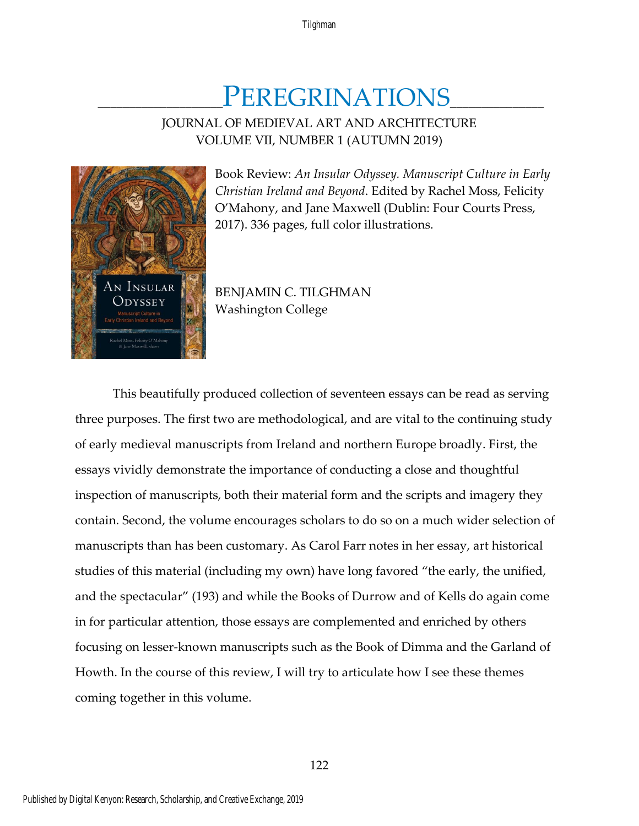# PEREGRINATIONS

## JOURNAL OF MEDIEVAL ART AND ARCHITECTURE VOLUME VII, NUMBER 1 (AUTUMN 2019)



Book Review: *An Insular Odyssey. Manuscript Culture in Early Christian Ireland and Beyond*. Edited by Rachel Moss, Felicity O'Mahony, and Jane Maxwell (Dublin: Four Courts Press, 2017). 336 pages, full color illustrations.

BENJAMIN C. TILGHMAN Washington College

This beautifully produced collection of seventeen essays can be read as serving three purposes. The first two are methodological, and are vital to the continuing study of early medieval manuscripts from Ireland and northern Europe broadly. First, the essays vividly demonstrate the importance of conducting a close and thoughtful inspection of manuscripts, both their material form and the scripts and imagery they contain. Second, the volume encourages scholars to do so on a much wider selection of manuscripts than has been customary. As Carol Farr notes in her essay, art historical studies of this material (including my own) have long favored "the early, the unified, and the spectacular" (193) and while the Books of Durrow and of Kells do again come in for particular attention, those essays are complemented and enriched by others focusing on lesser-known manuscripts such as the Book of Dimma and the Garland of Howth. In the course of this review, I will try to articulate how I see these themes coming together in this volume.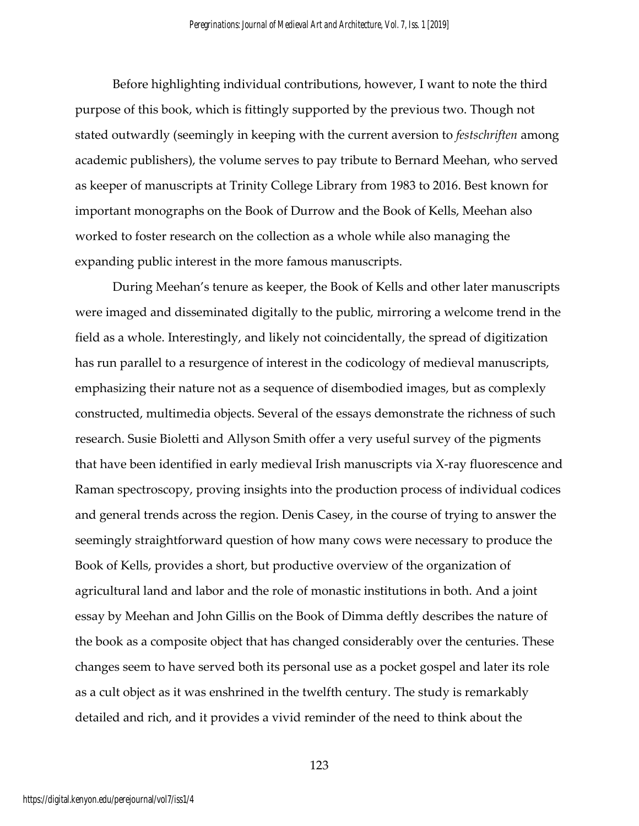Before highlighting individual contributions, however, I want to note the third purpose of this book, which is fittingly supported by the previous two. Though not stated outwardly (seemingly in keeping with the current aversion to *festschriften* among academic publishers), the volume serves to pay tribute to Bernard Meehan, who served as keeper of manuscripts at Trinity College Library from 1983 to 2016. Best known for important monographs on the Book of Durrow and the Book of Kells, Meehan also worked to foster research on the collection as a whole while also managing the expanding public interest in the more famous manuscripts.

During Meehan's tenure as keeper, the Book of Kells and other later manuscripts were imaged and disseminated digitally to the public, mirroring a welcome trend in the field as a whole. Interestingly, and likely not coincidentally, the spread of digitization has run parallel to a resurgence of interest in the codicology of medieval manuscripts, emphasizing their nature not as a sequence of disembodied images, but as complexly constructed, multimedia objects. Several of the essays demonstrate the richness of such research. Susie Bioletti and Allyson Smith offer a very useful survey of the pigments that have been identified in early medieval Irish manuscripts via X-ray fluorescence and Raman spectroscopy, proving insights into the production process of individual codices and general trends across the region. Denis Casey, in the course of trying to answer the seemingly straightforward question of how many cows were necessary to produce the Book of Kells, provides a short, but productive overview of the organization of agricultural land and labor and the role of monastic institutions in both. And a joint essay by Meehan and John Gillis on the Book of Dimma deftly describes the nature of the book as a composite object that has changed considerably over the centuries. These changes seem to have served both its personal use as a pocket gospel and later its role as a cult object as it was enshrined in the twelfth century. The study is remarkably detailed and rich, and it provides a vivid reminder of the need to think about the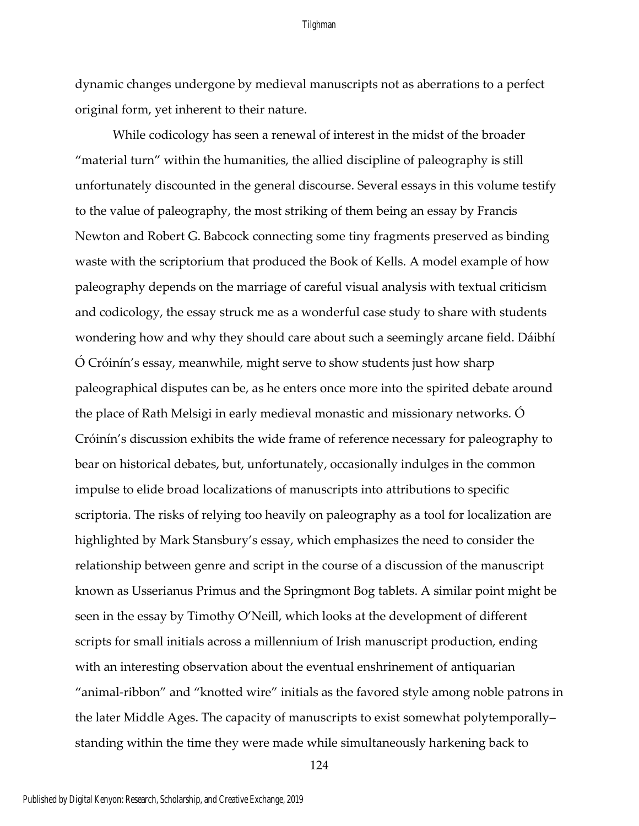### Tilghman

dynamic changes undergone by medieval manuscripts not as aberrations to a perfect original form, yet inherent to their nature.

While codicology has seen a renewal of interest in the midst of the broader "material turn" within the humanities, the allied discipline of paleography is still unfortunately discounted in the general discourse. Several essays in this volume testify to the value of paleography, the most striking of them being an essay by Francis Newton and Robert G. Babcock connecting some tiny fragments preserved as binding waste with the scriptorium that produced the Book of Kells. A model example of how paleography depends on the marriage of careful visual analysis with textual criticism and codicology, the essay struck me as a wonderful case study to share with students wondering how and why they should care about such a seemingly arcane field. Dáibhí Ó Cróinín's essay, meanwhile, might serve to show students just how sharp paleographical disputes can be, as he enters once more into the spirited debate around the place of Rath Melsigi in early medieval monastic and missionary networks. Ó Cróinín's discussion exhibits the wide frame of reference necessary for paleography to bear on historical debates, but, unfortunately, occasionally indulges in the common impulse to elide broad localizations of manuscripts into attributions to specific scriptoria. The risks of relying too heavily on paleography as a tool for localization are highlighted by Mark Stansbury's essay, which emphasizes the need to consider the relationship between genre and script in the course of a discussion of the manuscript known as Usserianus Primus and the Springmont Bog tablets. A similar point might be seen in the essay by Timothy O'Neill, which looks at the development of different scripts for small initials across a millennium of Irish manuscript production, ending with an interesting observation about the eventual enshrinement of antiquarian "animal-ribbon" and "knotted wire" initials as the favored style among noble patrons in the later Middle Ages. The capacity of manuscripts to exist somewhat polytemporally– standing within the time they were made while simultaneously harkening back to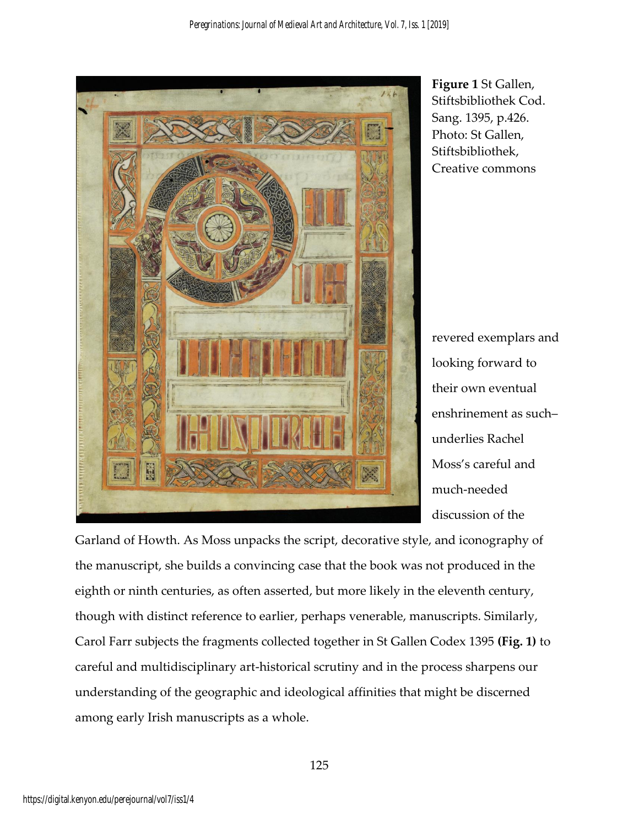

**Figure 1** St Gallen, Stiftsbibliothek Cod. Sang. 1395, p.426. Photo: St Gallen, Stiftsbibliothek, Creative commons

revered exemplars and looking forward to their own eventual enshrinement as such– underlies Rachel Moss's careful and much-needed discussion of the

Garland of Howth. As Moss unpacks the script, decorative style, and iconography of the manuscript, she builds a convincing case that the book was not produced in the eighth or ninth centuries, as often asserted, but more likely in the eleventh century, though with distinct reference to earlier, perhaps venerable, manuscripts. Similarly, Carol Farr subjects the fragments collected together in St Gallen Codex 1395 **(Fig. 1)** to careful and multidisciplinary art-historical scrutiny and in the process sharpens our understanding of the geographic and ideological affinities that might be discerned among early Irish manuscripts as a whole.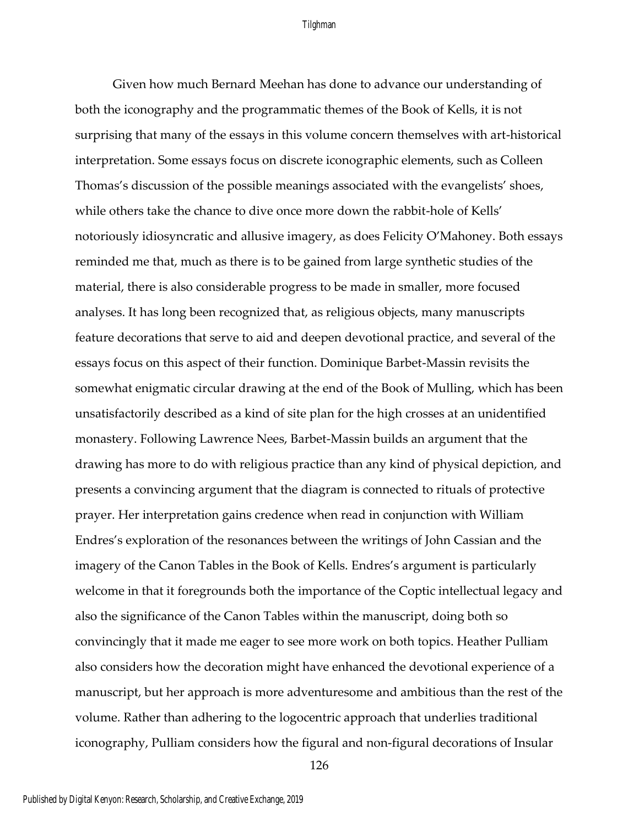## Tilghman

Given how much Bernard Meehan has done to advance our understanding of both the iconography and the programmatic themes of the Book of Kells, it is not surprising that many of the essays in this volume concern themselves with art-historical interpretation. Some essays focus on discrete iconographic elements, such as Colleen Thomas's discussion of the possible meanings associated with the evangelists' shoes, while others take the chance to dive once more down the rabbit-hole of Kells' notoriously idiosyncratic and allusive imagery, as does Felicity O'Mahoney. Both essays reminded me that, much as there is to be gained from large synthetic studies of the material, there is also considerable progress to be made in smaller, more focused analyses. It has long been recognized that, as religious objects, many manuscripts feature decorations that serve to aid and deepen devotional practice, and several of the essays focus on this aspect of their function. Dominique Barbet-Massin revisits the somewhat enigmatic circular drawing at the end of the Book of Mulling, which has been unsatisfactorily described as a kind of site plan for the high crosses at an unidentified monastery. Following Lawrence Nees, Barbet-Massin builds an argument that the drawing has more to do with religious practice than any kind of physical depiction, and presents a convincing argument that the diagram is connected to rituals of protective prayer. Her interpretation gains credence when read in conjunction with William Endres's exploration of the resonances between the writings of John Cassian and the imagery of the Canon Tables in the Book of Kells. Endres's argument is particularly welcome in that it foregrounds both the importance of the Coptic intellectual legacy and also the significance of the Canon Tables within the manuscript, doing both so convincingly that it made me eager to see more work on both topics. Heather Pulliam also considers how the decoration might have enhanced the devotional experience of a manuscript, but her approach is more adventuresome and ambitious than the rest of the volume. Rather than adhering to the logocentric approach that underlies traditional iconography, Pulliam considers how the figural and non-figural decorations of Insular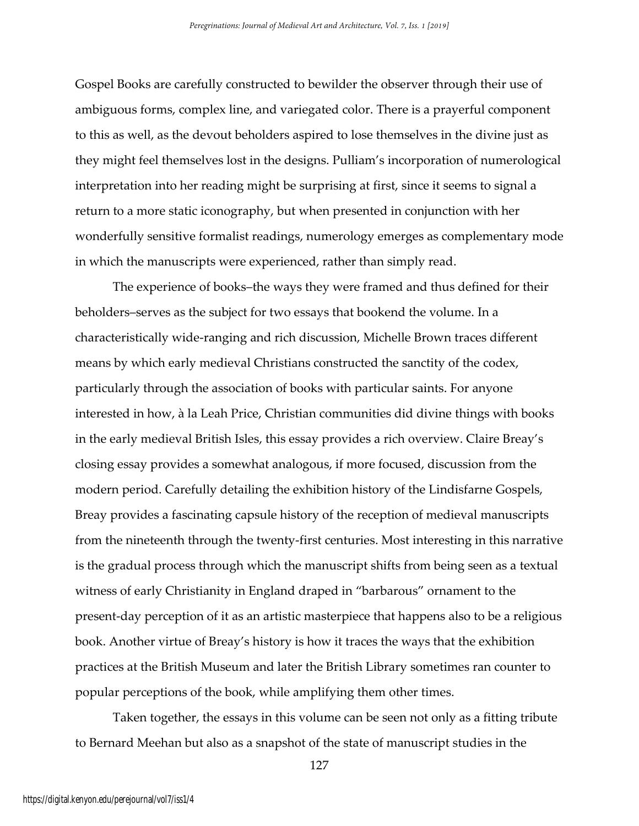Gospel Books are carefully constructed to bewilder the observer through their use of ambiguous forms, complex line, and variegated color. There is a prayerful component to this as well, as the devout beholders aspired to lose themselves in the divine just as they might feel themselves lost in the designs. Pulliam's incorporation of numerological interpretation into her reading might be surprising at first, since it seems to signal a return to a more static iconography, but when presented in conjunction with her wonderfully sensitive formalist readings, numerology emerges as complementary mode in which the manuscripts were experienced, rather than simply read.

The experience of books–the ways they were framed and thus defined for their beholders–serves as the subject for two essays that bookend the volume. In a characteristically wide-ranging and rich discussion, Michelle Brown traces different means by which early medieval Christians constructed the sanctity of the codex, particularly through the association of books with particular saints. For anyone interested in how, à la Leah Price, Christian communities did divine things with books in the early medieval British Isles, this essay provides a rich overview. Claire Breay's closing essay provides a somewhat analogous, if more focused, discussion from the modern period. Carefully detailing the exhibition history of the Lindisfarne Gospels, Breay provides a fascinating capsule history of the reception of medieval manuscripts from the nineteenth through the twenty-first centuries. Most interesting in this narrative is the gradual process through which the manuscript shifts from being seen as a textual witness of early Christianity in England draped in "barbarous" ornament to the present-day perception of it as an artistic masterpiece that happens also to be a religious book. Another virtue of Breay's history is how it traces the ways that the exhibition practices at the British Museum and later the British Library sometimes ran counter to popular perceptions of the book, while amplifying them other times.

Taken together, the essays in this volume can be seen not only as a fitting tribute to Bernard Meehan but also as a snapshot of the state of manuscript studies in the